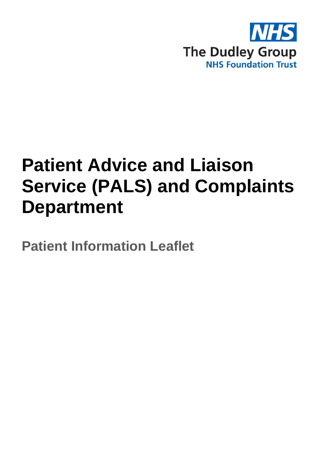

# **Patient Advice and Liaison Service (PALS) and Complaints Department**

**Patient Information Leaflet**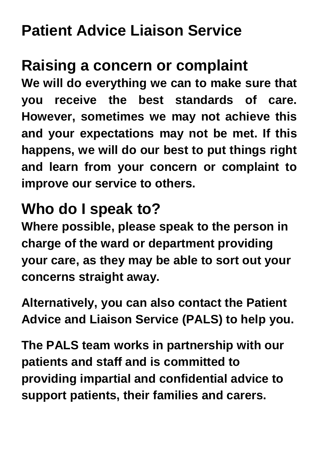# **Patient Advice Liaison Service**

## **Raising a concern or complaint**

**We will do everything we can to make sure that you receive the best standards of care. However, sometimes we may not achieve this and your expectations may not be met. If this happens, we will do our best to put things right and learn from your concern or complaint to improve our service to others.**

# **Who do I speak to?**

**Where possible, please speak to the person in charge of the ward or department providing your care, as they may be able to sort out your concerns straight away.** 

**Alternatively, you can also contact the Patient Advice and Liaison Service (PALS) to help you.**

**The PALS team works in partnership with our patients and staff and is committed to providing impartial and confidential advice to support patients, their families and carers.**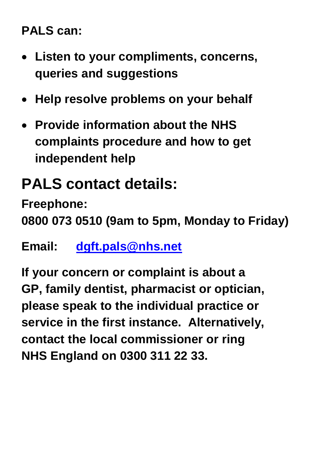**PALS can:**

- **Listen to your compliments, concerns, queries and suggestions**
- **Help resolve problems on your behalf**
- **Provide information about the NHS complaints procedure and how to get independent help**

## **PALS contact details:**

**Freephone:** 

**0800 073 0510 (9am to 5pm, Monday to Friday)**

**Email: [dgft.pals@nhs.net](mailto:dgft.pals@nhs.net)**

**If your concern or complaint is about a GP, family dentist, pharmacist or optician, please speak to the individual practice or service in the first instance. Alternatively, contact the local commissioner or ring NHS England on 0300 311 22 33.**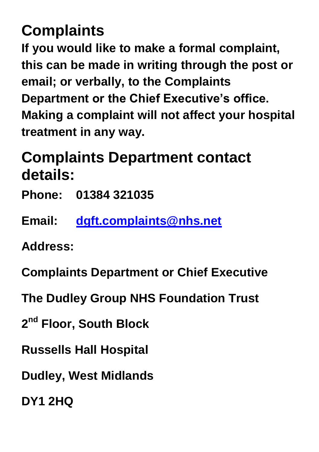# **Complaints**

**If you would like to make a formal complaint, this can be made in writing through the post or email; or verbally, to the Complaints Department or the Chief Executive's office. Making a complaint will not affect your hospital treatment in any way.**

### **Complaints Department contact details:**

**Phone: 01384 321035**

**Email: [dgft.complaints@nhs.net](mailto:dgft.complaints@nhs.net)**

**Address:**

**Complaints Department or Chief Executive**

**The Dudley Group NHS Foundation Trust**

**2 nd Floor, South Block**

**Russells Hall Hospital**

**Dudley, West Midlands**

**DY1 2HQ**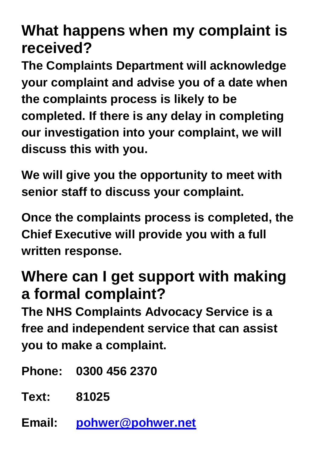**What happens when my complaint is received?**

**The Complaints Department will acknowledge your complaint and advise you of a date when the complaints process is likely to be completed. If there is any delay in completing our investigation into your complaint, we will discuss this with you.**

**We will give you the opportunity to meet with senior staff to discuss your complaint.** 

**Once the complaints process is completed, the Chief Executive will provide you with a full written response.**

### **Where can I get support with making a formal complaint?**

**The NHS Complaints Advocacy Service is a free and independent service that can assist you to make a complaint.** 

- **Phone: 0300 456 2370**
- **Text: 81025**
- **Email: [pohwer@pohwer.net](mailto:pohwer@pohwer.net)**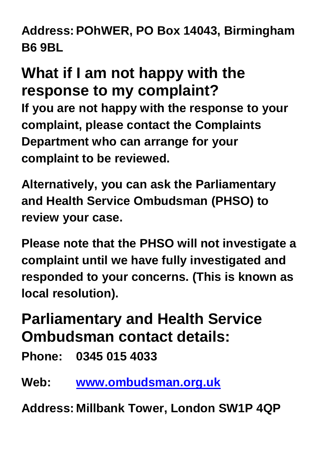**Address: POhWER, PO Box 14043, Birmingham B6 9BL**

# **What if I am not happy with the response to my complaint?**

**If you are not happy with the response to your complaint, please contact the Complaints Department who can arrange for your complaint to be reviewed.** 

**Alternatively, you can ask the Parliamentary and Health Service Ombudsman (PHSO) to review your case.**

**Please note that the PHSO will not investigate a complaint until we have fully investigated and responded to your concerns. (This is known as local resolution).**

#### **Parliamentary and Health Service Ombudsman contact details:**

**Phone: 0345 015 4033**

**Web: [www.ombudsman.org.uk](http://www.ombudsman.org.uk/)**

**Address: Millbank Tower, London SW1P 4QP**